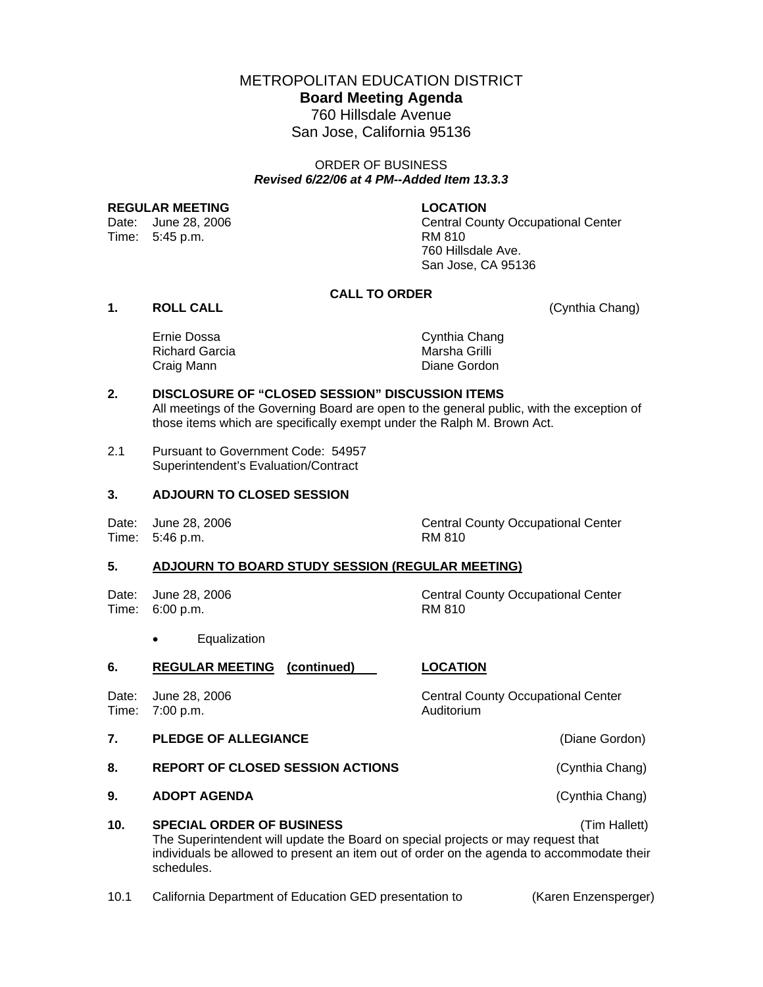METROPOLITAN EDUCATION DISTRICT **Board Meeting Agenda**  760 Hillsdale Avenue

San Jose, California 95136

# ORDER OF BUSINESS *Revised 6/22/06 at 4 PM--Added Item 13.3.3*

#### REGULAR MEETING **LOCATION**

Time: 5:45 p.m. RM 810

Date: June 28, 2006 Central County Occupational Center 760 Hillsdale Ave. San Jose, CA 95136

## **CALL TO ORDER**

**1. ROLL CALL** (Cynthia Chang)

| Ernie Dossa           |  |
|-----------------------|--|
| <b>Richard Garcia</b> |  |
| Craig Mann            |  |

Cynthia Chang Marsha Grilli Diane Gordon

# **2. DISCLOSURE OF "CLOSED SESSION" DISCUSSION ITEMS**

All meetings of the Governing Board are open to the general public, with the exception of those items which are specifically exempt under the Ralph M. Brown Act.

2.1 Pursuant to Government Code: 54957 Superintendent's Evaluation/Contract

# **3. ADJOURN TO CLOSED SESSION**

Time: 5:46 p.m. RM 810

Date: June 28, 2006 Central County Occupational Center

# **5. ADJOURN TO BOARD STUDY SESSION (REGULAR MEETING)**

Date: June 28, 2006 Central County Occupational Center Time: 6:00 p.m. RM 810

• Equalization

#### **6. REGULAR MEETING (continued) LOCATION**

Date: June 28, 2006 Central County Occupational Center Time: 7:00 p.m. Auditorium

- **7. PLEDGE OF ALLEGIANCE** (Diane Gordon)
- 8. REPORT OF CLOSED SESSION ACTIONS **1998** (Cynthia Chang)
- **9. ADOPT AGENDA** (Cynthia Chang)

**10. SPECIAL ORDER OF BUSINESS** (Tim Hallett) The Superintendent will update the Board on special projects or may request that individuals be allowed to present an item out of order on the agenda to accommodate their schedules.

10.1 California Department of Education GED presentation to (Karen Enzensperger)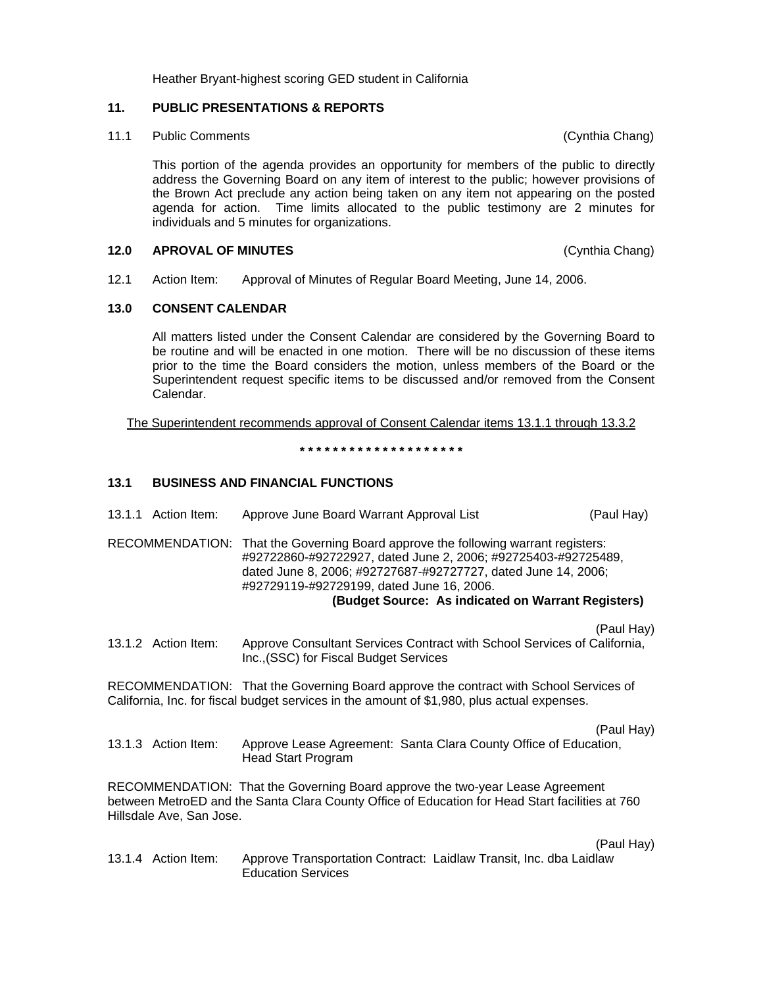Heather Bryant-highest scoring GED student in California

# **11. PUBLIC PRESENTATIONS & REPORTS**

11.1 Public Comments (Cynthia Chang)

This portion of the agenda provides an opportunity for members of the public to directly address the Governing Board on any item of interest to the public; however provisions of the Brown Act preclude any action being taken on any item not appearing on the posted agenda for action. Time limits allocated to the public testimony are 2 minutes for individuals and 5 minutes for organizations.

## **12.0 APROVAL OF MINUTES** (Cynthia Chang)

12.1 Action Item: Approval of Minutes of Regular Board Meeting, June 14, 2006.

# **13.0 CONSENT CALENDAR**

All matters listed under the Consent Calendar are considered by the Governing Board to be routine and will be enacted in one motion. There will be no discussion of these items prior to the time the Board considers the motion, unless members of the Board or the Superintendent request specific items to be discussed and/or removed from the Consent Calendar.

The Superintendent recommends approval of Consent Calendar items 13.1.1 through 13.3.2

**\* \* \* \* \* \* \* \* \* \* \* \* \* \* \* \* \* \* \* \*** 

# **13.1 BUSINESS AND FINANCIAL FUNCTIONS**

| 13.1.1 Action Item:      | Approve June Board Warrant Approval List                                                                                                                                                                                                                                                                               | (Paul Hay) |
|--------------------------|------------------------------------------------------------------------------------------------------------------------------------------------------------------------------------------------------------------------------------------------------------------------------------------------------------------------|------------|
|                          | RECOMMENDATION: That the Governing Board approve the following warrant registers:<br>#92722860-#92722927, dated June 2, 2006; #92725403-#92725489,<br>dated June 8, 2006; #92727687-#92727727, dated June 14, 2006;<br>#92729119-#92729199, dated June 16, 2006.<br>(Budget Source: As indicated on Warrant Registers) |            |
| 13.1.2 Action Item:      | Approve Consultant Services Contract with School Services of California,<br>Inc., (SSC) for Fiscal Budget Services                                                                                                                                                                                                     | (Paul Hay) |
|                          | RECOMMENDATION: That the Governing Board approve the contract with School Services of<br>California, Inc. for fiscal budget services in the amount of \$1,980, plus actual expenses.                                                                                                                                   |            |
| 13.1.3 Action Item:      | Approve Lease Agreement: Santa Clara County Office of Education,<br><b>Head Start Program</b>                                                                                                                                                                                                                          | (Paul Hay) |
| Hillsdale Ave, San Jose. | RECOMMENDATION: That the Governing Board approve the two-year Lease Agreement<br>between MetroED and the Santa Clara County Office of Education for Head Start facilities at 760                                                                                                                                       |            |
| 13.1.4 Action Item:      | Approve Transportation Contract: Laidlaw Transit, Inc. dba Laidlaw<br><b>Education Services</b>                                                                                                                                                                                                                        | (Paul Hay) |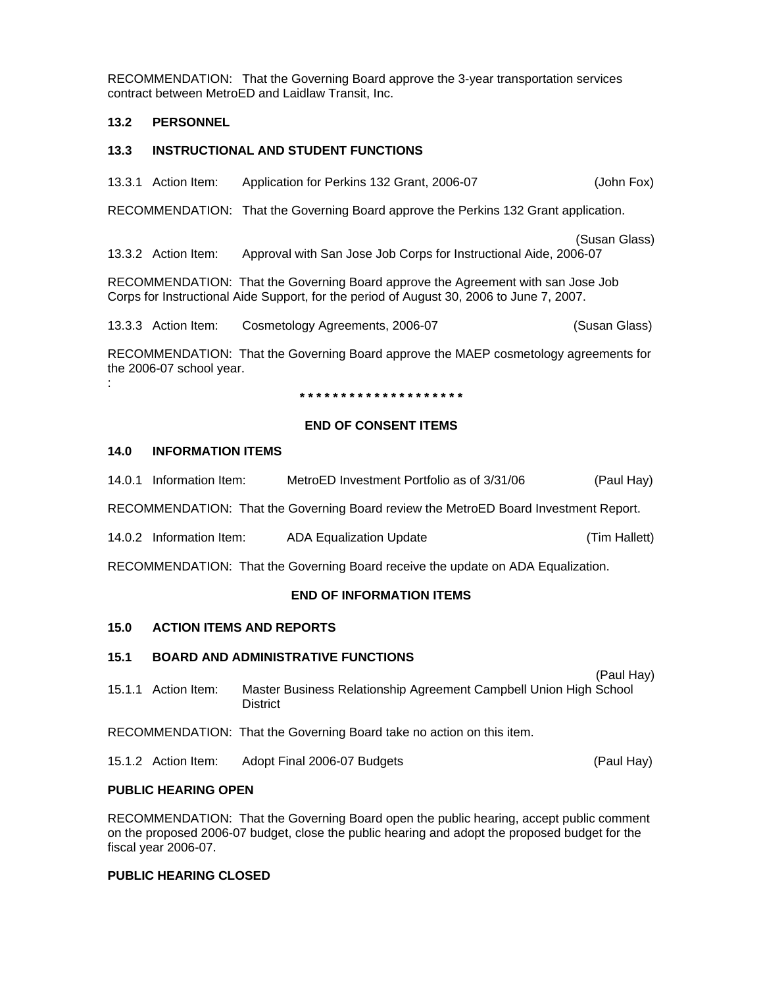RECOMMENDATION: That the Governing Board approve the 3-year transportation services contract between MetroED and Laidlaw Transit, Inc.

## **13.2 PERSONNEL**

# **13.3 INSTRUCTIONAL AND STUDENT FUNCTIONS**

13.3.1 Action Item: Application for Perkins 132 Grant, 2006-07 (John Fox)

RECOMMENDATION: That the Governing Board approve the Perkins 132 Grant application.

(Susan Glass) 13.3.2 Action Item: Approval with San Jose Job Corps for Instructional Aide, 2006-07

RECOMMENDATION: That the Governing Board approve the Agreement with san Jose Job Corps for Instructional Aide Support, for the period of August 30, 2006 to June 7, 2007.

13.3.3 Action Item: Cosmetology Agreements, 2006-07 (Susan Glass)

RECOMMENDATION: That the Governing Board approve the MAEP cosmetology agreements for the 2006-07 school year.

**\* \* \* \* \* \* \* \* \* \* \* \* \* \* \* \* \* \* \* \*** 

## **END OF CONSENT ITEMS**

## **14.0 INFORMATION ITEMS**

:

14.0.1 Information Item: MetroED Investment Portfolio as of 3/31/06 (Paul Hay)

RECOMMENDATION: That the Governing Board review the MetroED Board Investment Report.

14.0.2 Information Item: ADA Equalization Update (Tim Hallett)

RECOMMENDATION: That the Governing Board receive the update on ADA Equalization.

#### **END OF INFORMATION ITEMS**

#### **15.0 ACTION ITEMS AND REPORTS**

## **15.1 BOARD AND ADMINISTRATIVE FUNCTIONS**

- (Paul Hay) 15.1.1 Action Item: Master Business Relationship Agreement Campbell Union High School **District**
- RECOMMENDATION: That the Governing Board take no action on this item.

15.1.2 Action Item: Adopt Final 2006-07 Budgets (Paul Hay)

#### **PUBLIC HEARING OPEN**

RECOMMENDATION: That the Governing Board open the public hearing, accept public comment on the proposed 2006-07 budget, close the public hearing and adopt the proposed budget for the fiscal year 2006-07.

#### **PUBLIC HEARING CLOSED**